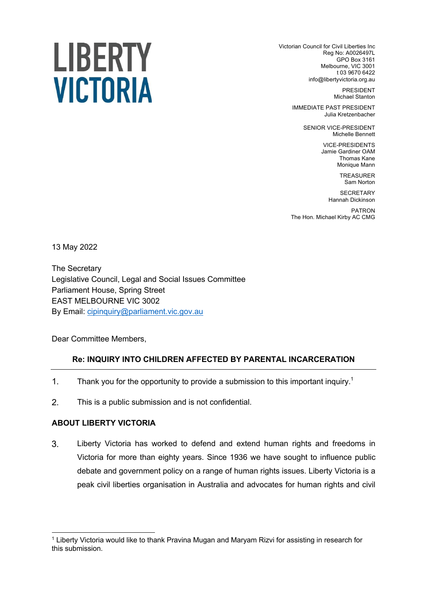# LIBERTY **VICTORIA**

Victorian Council for Civil Liberties Inc Reg No: A0026497L GPO Box 3161 Melbourne, VIC 3001 t 03 9670 6422 info@libertyvictoria.org.au

> PRESIDENT Michael Stanton

IMMEDIATE PAST PRESIDENT Julia Kretzenbacher

> SENIOR VICE-PRESIDENT Michelle Bennett

> > VICE-PRESIDENTS Jamie Gardiner OAM Thomas Kane Monique Mann

> > > TREASURER Sam Norton

**SECRETARY** Hannah Dickinson

PATRON The Hon. Michael Kirby AC CMG

13 May 2022

The Secretary Legislative Council, Legal and Social Issues Committee Parliament House, Spring Street EAST MELBOURNE VIC 3002 By Email: cipinquiry@parliament.vic.gov.au

Dear Committee Members,

# **Re: INQUIRY INTO CHILDREN AFFECTED BY PARENTAL INCARCERATION**

- $1<sub>1</sub>$ Thank you for the opportunity to provide a submission to this important inquiry.<sup>1</sup>
- $2.$ This is a public submission and is not confidential.

# **ABOUT LIBERTY VICTORIA**

 $3<sub>1</sub>$ Liberty Victoria has worked to defend and extend human rights and freedoms in Victoria for more than eighty years. Since 1936 we have sought to influence public debate and government policy on a range of human rights issues. Liberty Victoria is a peak civil liberties organisation in Australia and advocates for human rights and civil

<sup>1</sup> Liberty Victoria would like to thank Pravina Mugan and Maryam Rizvi for assisting in research for this submission.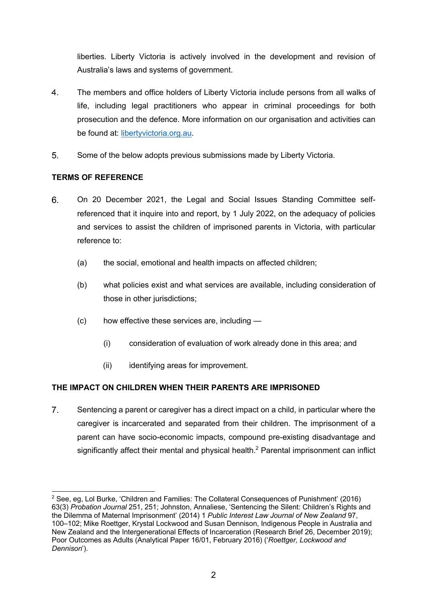liberties. Liberty Victoria is actively involved in the development and revision of Australia's laws and systems of government.

- $4.$ The members and office holders of Liberty Victoria include persons from all walks of life, including legal practitioners who appear in criminal proceedings for both prosecution and the defence. More information on our organisation and activities can be found at: libertyvictoria.org.au.
- $5<sub>1</sub>$ Some of the below adopts previous submissions made by Liberty Victoria.

## **TERMS OF REFERENCE**

- 6. On 20 December 2021, the Legal and Social Issues Standing Committee selfreferenced that it inquire into and report, by 1 July 2022, on the adequacy of policies and services to assist the children of imprisoned parents in Victoria, with particular reference to:
	- (a) the social, emotional and health impacts on affected children;
	- (b) what policies exist and what services are available, including consideration of those in other jurisdictions;
	- (c) how effective these services are, including
		- (i) consideration of evaluation of work already done in this area; and
		- (ii) identifying areas for improvement.

# **THE IMPACT ON CHILDREN WHEN THEIR PARENTS ARE IMPRISONED**

 $7<sup>1</sup>$ Sentencing a parent or caregiver has a direct impact on a child, in particular where the caregiver is incarcerated and separated from their children. The imprisonment of a parent can have socio-economic impacts, compound pre-existing disadvantage and significantly affect their mental and physical health. $<sup>2</sup>$  Parental imprisonment can inflict</sup>

<sup>&</sup>lt;sup>2</sup> See, eq, Lol Burke, 'Children and Families: The Collateral Consequences of Punishment' (2016) 63(3) *Probation Journal* 251, 251; Johnston, Annaliese, 'Sentencing the Silent: Children's Rights and the Dilemma of Maternal Imprisonment' (2014) 1 *Public Interest Law Journal of New Zealand* 97, 100–102; Mike Roettger, Krystal Lockwood and Susan Dennison, Indigenous People in Australia and New Zealand and the Intergenerational Effects of Incarceration (Research Brief 26, December 2019); Poor Outcomes as Adults (Analytical Paper 16/01, February 2016) ('*Roettger, Lockwood and Dennison*').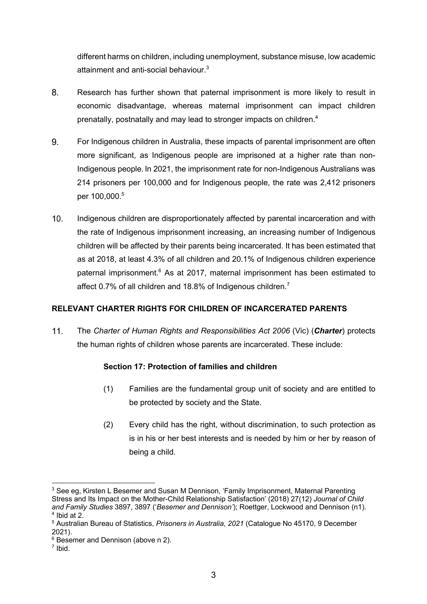different harms on children, including unemployment, substance misuse, low academic attainment and anti-social behaviour.<sup>3</sup>

- 8. Research has further shown that paternal imprisonment is more likely to result in economic disadvantage, whereas maternal imprisonment can impact children prenatally, postnatally and may lead to stronger impacts on children.<sup>4</sup>
- 9. For Indigenous children in Australia, these impacts of parental imprisonment are often more significant, as Indigenous people are imprisoned at a higher rate than non-Indigenous people. In 2021, the imprisonment rate for non-Indigenous Australians was 214 prisoners per 100,000 and for Indigenous people, the rate was 2,412 prisoners per 100,000.<sup>5</sup>
- $10.$ Indigenous children are disproportionately affected by parental incarceration and with the rate of Indigenous imprisonment increasing, an increasing number of Indigenous children will be affected by their parents being incarcerated. It has been estimated that as at 2018, at least 4.3% of all children and 20.1% of Indigenous children experience paternal imprisonment.<sup>6</sup> As at 2017, maternal imprisonment has been estimated to affect 0.7% of all children and 18.8% of Indigenous children.<sup>7</sup>

# **RELEVANT CHARTER RIGHTS FOR CHILDREN OF INCARCERATED PARENTS**

 $11.$ The *Charter of Human Rights and Responsibilities Act 2006* (Vic) (*Charter*) protects the human rights of children whose parents are incarcerated. These include:

# **Section 17: Protection of families and children**

- (1) Families are the fundamental group unit of society and are entitled to be protected by society and the State.
- (2) Every child has the right, without discrimination, to such protection as is in his or her best interests and is needed by him or her by reason of being a child.

<sup>&</sup>lt;sup>3</sup> See eg, Kirsten L Besemer and Susan M Dennison, 'Family Imprisonment, Maternal Parenting Stress and Its Impact on the Mother-Child Relationship Satisfaction' (2018) 27(12) *Journal of Child and Family Studies* 3897, 3897 ('*Besemer and Dennison'*); Roettger, Lockwood and Dennison (n1).  $4$  Ibid at 2.

<sup>5</sup> Australian Bureau of Statistics, *Prisoners in Australia, 2021* (Catalogue No 45170, 9 December 2021).

<sup>6</sup> Besemer and Dennison (above n 2).

<sup>7</sup> Ibid.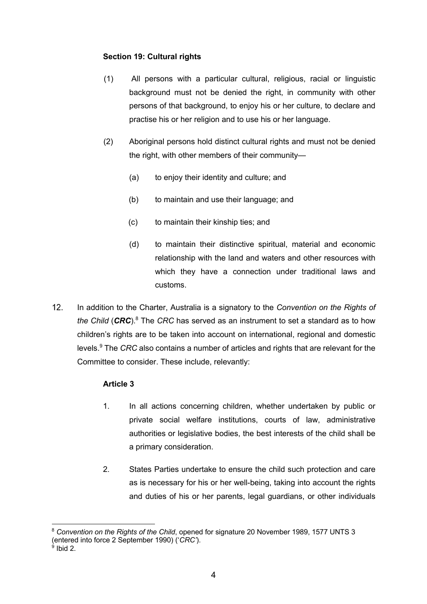## **Section 19: Cultural rights**

- (1) All persons with a particular cultural, religious, racial or linguistic background must not be denied the right, in community with other persons of that background, to enjoy his or her culture, to declare and practise his or her religion and to use his or her language.
- (2) Aboriginal persons hold distinct cultural rights and must not be denied the right, with other members of their community—
	- (a) to enjoy their identity and culture; and
	- (b) to maintain and use their language; and
	- (c) to maintain their kinship ties; and
	- (d) to maintain their distinctive spiritual, material and economic relationship with the land and waters and other resources with which they have a connection under traditional laws and customs.
- $12.$ In addition to the Charter, Australia is a signatory to the *Convention on the Rights of the Child* (*CRC*). <sup>8</sup> The *CRC* has served as an instrument to set a standard as to how children's rights are to be taken into account on international, regional and domestic levels.<sup>9</sup> The *CRC* also contains a number of articles and rights that are relevant for the Committee to consider. These include, relevantly:

# **Article 3**

- 1. In all actions concerning children, whether undertaken by public or private social welfare institutions, courts of law, administrative authorities or legislative bodies, the best interests of the child shall be a primary consideration.
- 2. States Parties undertake to ensure the child such protection and care as is necessary for his or her well-being, taking into account the rights and duties of his or her parents, legal guardians, or other individuals

<sup>8</sup> *Convention on the Rights of the Child*, opened for signature 20 November 1989, 1577 UNTS 3 (entered into force 2 September 1990) ('*CRC'*).

 $9$  Ibid 2.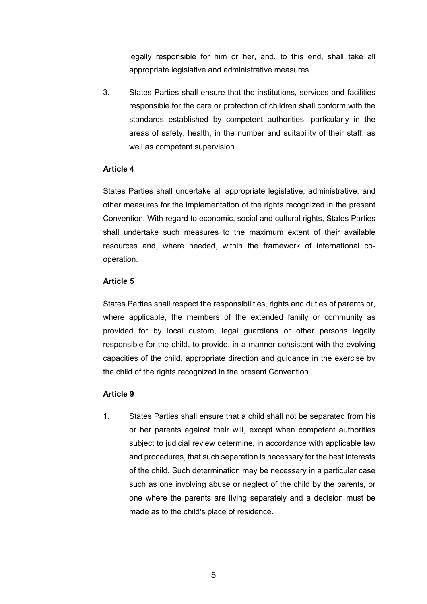legally responsible for him or her, and, to this end, shall take all appropriate legislative and administrative measures.

3. States Parties shall ensure that the institutions, services and facilities responsible for the care or protection of children shall conform with the standards established by competent authorities, particularly in the areas of safety, health, in the number and suitability of their staff, as well as competent supervision.

#### **Article 4**

States Parties shall undertake all appropriate legislative, administrative, and other measures for the implementation of the rights recognized in the present Convention. With regard to economic, social and cultural rights, States Parties shall undertake such measures to the maximum extent of their available resources and, where needed, within the framework of international cooperation.

#### **Article 5**

States Parties shall respect the responsibilities, rights and duties of parents or, where applicable, the members of the extended family or community as provided for by local custom, legal guardians or other persons legally responsible for the child, to provide, in a manner consistent with the evolving capacities of the child, appropriate direction and guidance in the exercise by the child of the rights recognized in the present Convention.

#### **Article 9**

1. States Parties shall ensure that a child shall not be separated from his or her parents against their will, except when competent authorities subject to judicial review determine, in accordance with applicable law and procedures, that such separation is necessary for the best interests of the child. Such determination may be necessary in a particular case such as one involving abuse or neglect of the child by the parents, or one where the parents are living separately and a decision must be made as to the child's place of residence.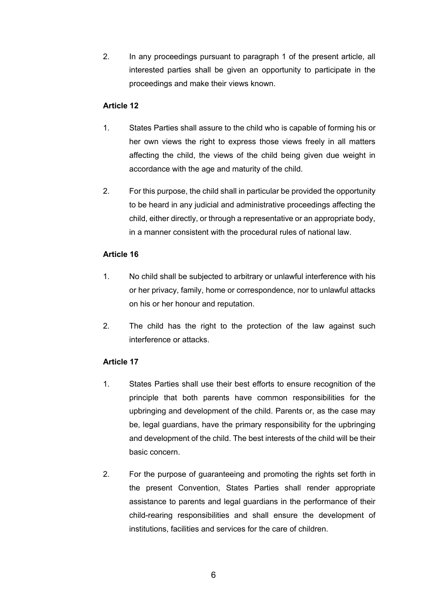2. In any proceedings pursuant to paragraph 1 of the present article, all interested parties shall be given an opportunity to participate in the proceedings and make their views known.

## **Article 12**

- 1. States Parties shall assure to the child who is capable of forming his or her own views the right to express those views freely in all matters affecting the child, the views of the child being given due weight in accordance with the age and maturity of the child.
- 2. For this purpose, the child shall in particular be provided the opportunity to be heard in any judicial and administrative proceedings affecting the child, either directly, or through a representative or an appropriate body, in a manner consistent with the procedural rules of national law.

## **Article 16**

- 1. No child shall be subjected to arbitrary or unlawful interference with his or her privacy, family, home or correspondence, nor to unlawful attacks on his or her honour and reputation.
- 2. The child has the right to the protection of the law against such interference or attacks.

# **Article 17**

- 1. States Parties shall use their best efforts to ensure recognition of the principle that both parents have common responsibilities for the upbringing and development of the child. Parents or, as the case may be, legal guardians, have the primary responsibility for the upbringing and development of the child. The best interests of the child will be their basic concern.
- 2. For the purpose of guaranteeing and promoting the rights set forth in the present Convention, States Parties shall render appropriate assistance to parents and legal guardians in the performance of their child-rearing responsibilities and shall ensure the development of institutions, facilities and services for the care of children.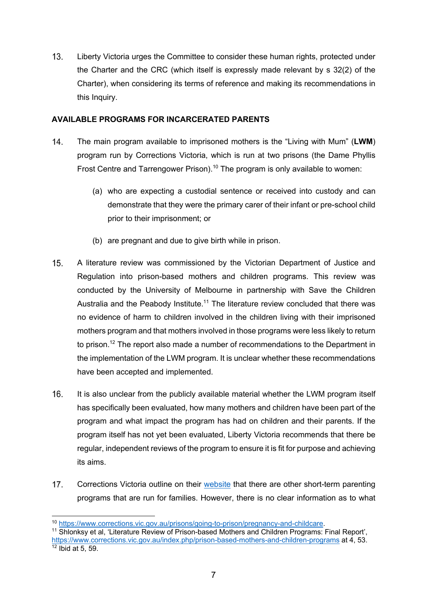$13.$ Liberty Victoria urges the Committee to consider these human rights, protected under the Charter and the CRC (which itself is expressly made relevant by s 32(2) of the Charter), when considering its terms of reference and making its recommendations in this Inquiry.

### **AVAILABLE PROGRAMS FOR INCARCERATED PARENTS**

- $14.$ The main program available to imprisoned mothers is the "Living with Mum" (**LWM**) program run by Corrections Victoria, which is run at two prisons (the Dame Phyllis Frost Centre and Tarrengower Prison).<sup>10</sup> The program is only available to women:
	- (a) who are expecting a custodial sentence or received into custody and can demonstrate that they were the primary carer of their infant or pre-school child prior to their imprisonment; or
	- (b) are pregnant and due to give birth while in prison.
- $15.$ A literature review was commissioned by the Victorian Department of Justice and Regulation into prison-based mothers and children programs. This review was conducted by the University of Melbourne in partnership with Save the Children Australia and the Peabody Institute.<sup>11</sup> The literature review concluded that there was no evidence of harm to children involved in the children living with their imprisoned mothers program and that mothers involved in those programs were less likely to return to prison.<sup>12</sup> The report also made a number of recommendations to the Department in the implementation of the LWM program. It is unclear whether these recommendations have been accepted and implemented.
- $16.$ It is also unclear from the publicly available material whether the LWM program itself has specifically been evaluated, how many mothers and children have been part of the program and what impact the program has had on children and their parents. If the program itself has not yet been evaluated, Liberty Victoria recommends that there be regular, independent reviews of the program to ensure it is fit for purpose and achieving its aims.
- $17.$ Corrections Victoria outline on their website that there are other short-term parenting programs that are run for families. However, there is no clear information as to what

<sup>11</sup> Shlonksy et al, 'Literature Review of Prison-based Mothers and Children Programs: Final Report', https://www.corrections.vic.gov.au/index.php/prison-based-mothers-and-children-programs at 4, 53. 12 Ibid at 5, 59.

<sup>10</sup> https://www.corrections.vic.gov.au/prisons/going-to-prison/pregnancy-and-childcare.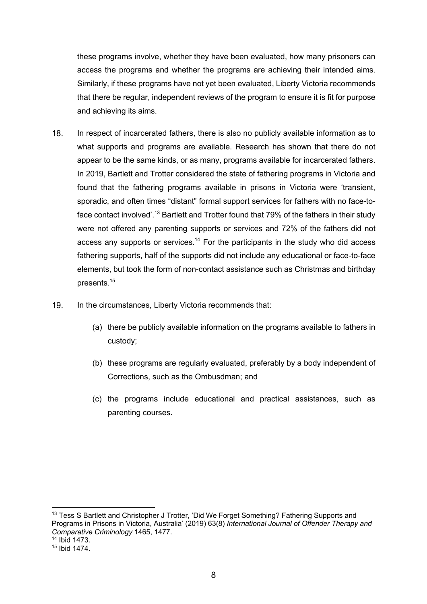these programs involve, whether they have been evaluated, how many prisoners can access the programs and whether the programs are achieving their intended aims. Similarly, if these programs have not yet been evaluated, Liberty Victoria recommends that there be regular, independent reviews of the program to ensure it is fit for purpose and achieving its aims.

- 18 In respect of incarcerated fathers, there is also no publicly available information as to what supports and programs are available. Research has shown that there do not appear to be the same kinds, or as many, programs available for incarcerated fathers. In 2019, Bartlett and Trotter considered the state of fathering programs in Victoria and found that the fathering programs available in prisons in Victoria were 'transient, sporadic, and often times "distant" formal support services for fathers with no face-toface contact involved'.<sup>13</sup> Bartlett and Trotter found that 79% of the fathers in their study were not offered any parenting supports or services and 72% of the fathers did not access any supports or services.<sup>14</sup> For the participants in the study who did access fathering supports, half of the supports did not include any educational or face-to-face elements, but took the form of non-contact assistance such as Christmas and birthday presents.15
- 19. In the circumstances, Liberty Victoria recommends that:
	- (a) there be publicly available information on the programs available to fathers in custody;
	- (b) these programs are regularly evaluated, preferably by a body independent of Corrections, such as the Ombusdman; and
	- (c) the programs include educational and practical assistances, such as parenting courses.

<sup>&</sup>lt;sup>13</sup> Tess S Bartlett and Christopher J Trotter, 'Did We Forget Something? Fathering Supports and Programs in Prisons in Victoria, Australia' (2019) 63(8) *International Journal of Offender Therapy and Comparative Criminology* 1465, 1477.

<sup>14</sup> Ibid 1473.

<sup>15</sup> Ibid 1474.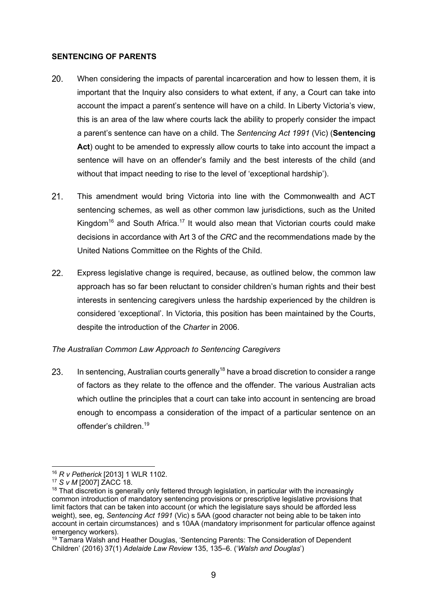#### **SENTENCING OF PARENTS**

- $20.$ When considering the impacts of parental incarceration and how to lessen them, it is important that the Inquiry also considers to what extent, if any, a Court can take into account the impact a parent's sentence will have on a child. In Liberty Victoria's view, this is an area of the law where courts lack the ability to properly consider the impact a parent's sentence can have on a child. The *Sentencing Act 1991* (Vic) (**Sentencing Act**) ought to be amended to expressly allow courts to take into account the impact a sentence will have on an offender's family and the best interests of the child (and without that impact needing to rise to the level of 'exceptional hardship').
- $21.$ This amendment would bring Victoria into line with the Commonwealth and ACT sentencing schemes, as well as other common law jurisdictions, such as the United Kingdom<sup>16</sup> and South Africa.<sup>17</sup> It would also mean that Victorian courts could make decisions in accordance with Art 3 of the *CRC* and the recommendations made by the United Nations Committee on the Rights of the Child.
- $22.$ Express legislative change is required, because, as outlined below, the common law approach has so far been reluctant to consider children's human rights and their best interests in sentencing caregivers unless the hardship experienced by the children is considered 'exceptional'. In Victoria, this position has been maintained by the Courts, despite the introduction of the *Charter* in 2006.

# *The Australian Common Law Approach to Sentencing Caregivers*

In sentencing, Australian courts generally<sup>18</sup> have a broad discretion to consider a range 23. of factors as they relate to the offence and the offender. The various Australian acts which outline the principles that a court can take into account in sentencing are broad enough to encompass a consideration of the impact of a particular sentence on an offender's children.<sup>19</sup>

<sup>16</sup> *R v Petherick* [2013] 1 WLR 1102.

<sup>17</sup> *S v M* [2007] ZACC 18.

 $18$  That discretion is generally only fettered through legislation, in particular with the increasingly common introduction of mandatory sentencing provisions or prescriptive legislative provisions that limit factors that can be taken into account (or which the legislature says should be afforded less weight), see, eg, *Sentencing Act 1991* (Vic) s 5AA (good character not being able to be taken into account in certain circumstances) and s 10AA (mandatory imprisonment for particular offence against emergency workers).

<sup>19</sup> Tamara Walsh and Heather Douglas, 'Sentencing Parents: The Consideration of Dependent Children' (2016) 37(1) *Adelaide Law Review* 135, 135–6. ('*Walsh and Douglas*')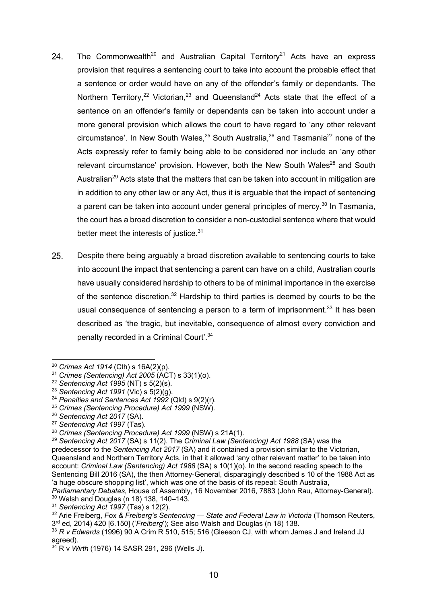- The Commonwealth<sup>20</sup> and Australian Capital Territory<sup>21</sup> Acts have an express 24. provision that requires a sentencing court to take into account the probable effect that a sentence or order would have on any of the offender's family or dependants. The Northern Territory,<sup>22</sup> Victorian,<sup>23</sup> and Queensland<sup>24</sup> Acts state that the effect of a sentence on an offender's family or dependants can be taken into account under a more general provision which allows the court to have regard to 'any other relevant circumstance'. In New South Wales,  $25$  South Australia,  $26$  and Tasmania<sup>27</sup> none of the Acts expressly refer to family being able to be considered nor include an 'any other relevant circumstance' provision. However, both the New South Wales<sup>28</sup> and South Australian<sup>29</sup> Acts state that the matters that can be taken into account in mitigation are in addition to any other law or any Act, thus it is arguable that the impact of sentencing a parent can be taken into account under general principles of mercy.<sup>30</sup> In Tasmania, the court has a broad discretion to consider a non-custodial sentence where that would better meet the interests of justice.<sup>31</sup>
- 25. Despite there being arguably a broad discretion available to sentencing courts to take into account the impact that sentencing a parent can have on a child, Australian courts have usually considered hardship to others to be of minimal importance in the exercise of the sentence discretion.<sup>32</sup> Hardship to third parties is deemed by courts to be the usual consequence of sentencing a person to a term of imprisonment.<sup>33</sup> It has been described as 'the tragic, but inevitable, consequence of almost every conviction and penalty recorded in a Criminal Court'.34

<sup>31</sup> *Sentencing Act 1997* (Tas) s 12(2).

<sup>20</sup> *Crimes Act 1914* (Cth) s 16A(2)(p).

<sup>21</sup> *Crimes (Sentencing) Act 2005* (ACT) s 33(1)(o).

<sup>22</sup> *Sentencing Act 1995* (NT) s 5(2)(s).

<sup>23</sup> *Sentencing Act 1991* (Vic) s 5(2)(g).

<sup>24</sup> *Penalties and Sentences Act 1992* (Qld) s 9(2)(r).

<sup>25</sup> *Crimes (Sentencing Procedure) Act 1999* (NSW).

<sup>26</sup> *Sentencing Act 2017* (SA).

<sup>27</sup> *Sentencing Act 1997* (Tas).

<sup>28</sup> *Crimes (Sentencing Procedure) Act 1999* (NSW) s 21A(1).

<sup>29</sup> *Sentencing Act 2017* (SA) s 11(2). The *Criminal Law (Sentencing) Act 1988* (SA) was the predecessor to the *Sentencing Act 2017* (SA) and it contained a provision similar to the Victorian, Queensland and Northern Territory Acts, in that it allowed 'any other relevant matter' to be taken into account: *Criminal Law (Sentencing) Act 1988* (SA) s 10(1)(o). In the second reading speech to the Sentencing Bill 2016 (SA), the then Attorney-General, disparagingly described s 10 of the 1988 Act as 'a huge obscure shopping list', which was one of the basis of its repeal: South Australia,

*Parliamentary Debates*, House of Assembly, 16 November 2016, 7883 (John Rau, Attorney-General). <sup>30</sup> Walsh and Douglas (n 18) 138, 140–143.

<sup>&</sup>lt;sup>32</sup> Arie Freiberg, *Fox & Freiberg's Sentencing* — *State and Federal Law in Victoria* (Thomson Reuters, 3rd ed, 2014) 420 [6.150] ('*Freiberg*'); See also Walsh and Douglas (n 18) 138.

<sup>33</sup> *R v Edwards* (1996) 90 A Crim R 510, 515; 516 (Gleeson CJ, with whom James J and Ireland JJ agreed).

<sup>34</sup> R v *Wirth* (1976) 14 SASR 291, 296 (Wells J).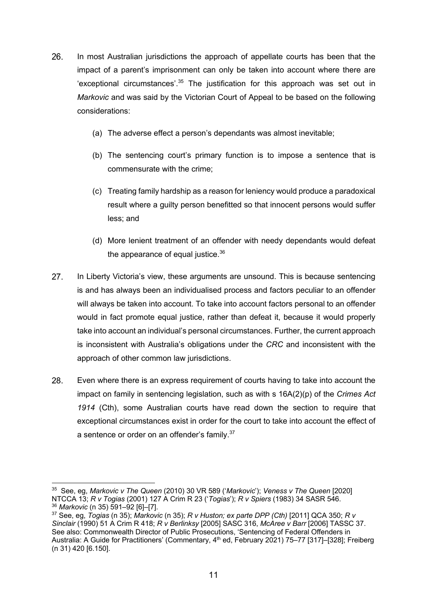- 26. In most Australian jurisdictions the approach of appellate courts has been that the impact of a parent's imprisonment can only be taken into account where there are 'exceptional circumstances'. $35$  The justification for this approach was set out in *Markovic* and was said by the Victorian Court of Appeal to be based on the following considerations:
	- (a) The adverse effect a person's dependants was almost inevitable;
	- (b) The sentencing court's primary function is to impose a sentence that is commensurate with the crime;
	- (c) Treating family hardship as a reason for leniency would produce a paradoxical result where a guilty person benefitted so that innocent persons would suffer less; and
	- (d) More lenient treatment of an offender with needy dependants would defeat the appearance of equal justice. $36$
- 27. In Liberty Victoria's view, these arguments are unsound. This is because sentencing is and has always been an individualised process and factors peculiar to an offender will always be taken into account. To take into account factors personal to an offender would in fact promote equal justice, rather than defeat it, because it would properly take into account an individual's personal circumstances. Further, the current approach is inconsistent with Australia's obligations under the *CRC* and inconsistent with the approach of other common law jurisdictions.
- 28. Even where there is an express requirement of courts having to take into account the impact on family in sentencing legislation, such as with s 16A(2)(p) of the *Crimes Act 1914* (Cth), some Australian courts have read down the section to require that exceptional circumstances exist in order for the court to take into account the effect of a sentence or order on an offender's family.<sup>37</sup>

<sup>35</sup> See, eg, *Markovic v The Queen* (2010) 30 VR 589 ('*Markovic*'); *Veness v The Queen* [2020] NTCCA 13; *R v Togias* (2001) 127 A Crim R 23 ('*Togias*'); *R v Spiers* (1983) 34 SASR 546.

<sup>36</sup> *Markovic* (n 35) 591–92 [6]–[7].

<sup>37</sup> See, eg, *Togias* (n 35); *Markovic* (n 35); *R v Huston; ex parte DPP (Cth)* [2011] QCA 350; *R v Sinclair* (1990) 51 A Crim R 418; *R v Berlinksy* [2005] SASC 316, *McAree v Barr* [2006] TASSC 37. See also: Commonwealth Director of Public Prosecutions, 'Sentencing of Federal Offenders in Australia: A Guide for Practitioners' (Commentary, 4<sup>th</sup> ed, February 2021) 75-77 [317]-[328]; Freiberg (n 31) 420 [6.150].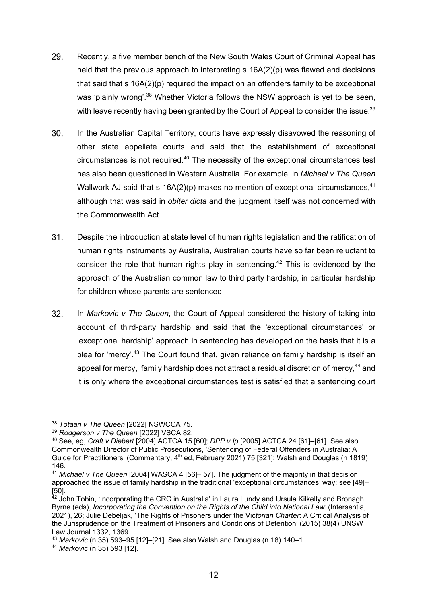- 29. Recently, a five member bench of the New South Wales Court of Criminal Appeal has held that the previous approach to interpreting s 16A(2)(p) was flawed and decisions that said that s 16A(2)(p) required the impact on an offenders family to be exceptional was 'plainly wrong'.<sup>38</sup> Whether Victoria follows the NSW approach is yet to be seen, with leave recently having been granted by the Court of Appeal to consider the issue.<sup>39</sup>
- $30<sub>1</sub>$ In the Australian Capital Territory, courts have expressly disavowed the reasoning of other state appellate courts and said that the establishment of exceptional circumstances is not required.40 The necessity of the exceptional circumstances test has also been questioned in Western Australia. For example, in *Michael v The Queen* Wallwork AJ said that s  $16A(2)(p)$  makes no mention of exceptional circumstances,<sup>41</sup> although that was said in *obiter dicta* and the judgment itself was not concerned with the Commonwealth Act.
- $31.$ Despite the introduction at state level of human rights legislation and the ratification of human rights instruments by Australia, Australian courts have so far been reluctant to consider the role that human rights play in sentencing.<sup>42</sup> This is evidenced by the approach of the Australian common law to third party hardship, in particular hardship for children whose parents are sentenced.
- $32.$ In *Markovic v The Queen*, the Court of Appeal considered the history of taking into account of third-party hardship and said that the 'exceptional circumstances' or 'exceptional hardship' approach in sentencing has developed on the basis that it is a plea for 'mercy'.<sup>43</sup> The Court found that, given reliance on family hardship is itself an appeal for mercy, family hardship does not attract a residual discretion of mercy.<sup>44</sup> and it is only where the exceptional circumstances test is satisfied that a sentencing court

<sup>44</sup> *Markovic* (n 35) 593 [12].

<sup>38</sup> *Totaan v The Queen* [2022] NSWCCA 75.

<sup>39</sup> *Rodgerson v The Queen* [2022] VSCA 82.

<sup>40</sup> See, eg, *Craft v Diebert* [2004] ACTCA 15 [60]; *DPP v Ip* [2005] ACTCA 24 [61]–[61]. See also Commonwealth Director of Public Prosecutions, 'Sentencing of Federal Offenders in Australia: A Guide for Practitioners' (Commentary,  $4<sup>th</sup>$  ed, February 2021) 75 [321]; Walsh and Douglas (n 1819) 146.

<sup>41</sup> *Michael v The Queen* [2004] WASCA 4 [56]–[57]. The judgment of the majority in that decision approached the issue of family hardship in the traditional 'exceptional circumstances' way: see [49]– [50].

 $42$  John Tobin, 'Incorporating the CRC in Australia' in Laura Lundy and Ursula Kilkelly and Bronagh Byrne (eds), *Incorporating the Convention on the Rights of the Child into National Law'* (Intersentia, 2021), 26; Julie Debeljak, 'The Rights of Prisoners under the Vic*torian Charter*: A Critical Analysis of the Jurisprudence on the Treatment of Prisoners and Conditions of Detention' (2015) 38(4) UNSW Law Journal 1332, 1369.

<sup>43</sup> *Markovic* (n 35) 593–95 [12]–[21]. See also Walsh and Douglas (n 18) 140–1.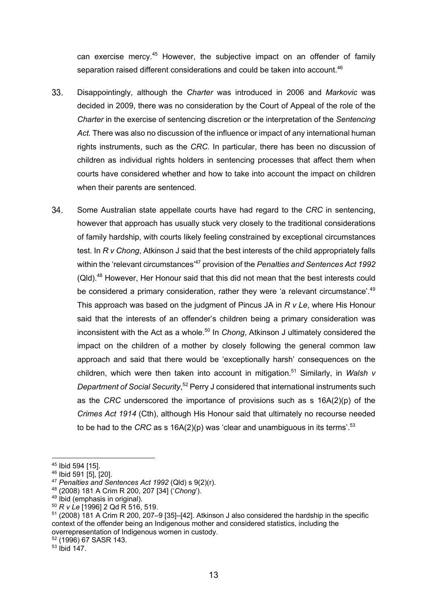can exercise mercy.45 However, the subjective impact on an offender of family separation raised different considerations and could be taken into account.<sup>46</sup>

- 33. Disappointingly, although the *Charter* was introduced in 2006 and *Markovic* was decided in 2009, there was no consideration by the Court of Appeal of the role of the *Charter* in the exercise of sentencing discretion or the interpretation of the *Sentencing Act.* There was also no discussion of the influence or impact of any international human rights instruments, such as the *CRC*. In particular, there has been no discussion of children as individual rights holders in sentencing processes that affect them when courts have considered whether and how to take into account the impact on children when their parents are sentenced.
- 34. Some Australian state appellate courts have had regard to the *CRC* in sentencing, however that approach has usually stuck very closely to the traditional considerations of family hardship, with courts likely feeling constrained by exceptional circumstances test. In *R v Chong*, Atkinson J said that the best interests of the child appropriately falls within the 'relevant circumstances'47 provision of the *Penalties and Sentences Act 1992*  (Qld).48 However, Her Honour said that this did not mean that the best interests could be considered a primary consideration, rather they were 'a relevant circumstance'.<sup>49</sup> This approach was based on the judgment of Pincus JA in *R v Le*, where His Honour said that the interests of an offender's children being a primary consideration was inconsistent with the Act as a whole.<sup>50</sup> In *Chong*, Atkinson J ultimately considered the impact on the children of a mother by closely following the general common law approach and said that there would be 'exceptionally harsh' consequences on the children, which were then taken into account in mitigation.51 Similarly, in *Walsh v*  Department of Social Security,<sup>52</sup> Perry J considered that international instruments such as the *CRC* underscored the importance of provisions such as s 16A(2)(p) of the *Crimes Act 1914* (Cth), although His Honour said that ultimately no recourse needed to be had to the *CRC* as s 16A(2)(p) was 'clear and unambiguous in its terms'.53

<sup>52</sup> (1996) 67 SASR 143.

<sup>45</sup> Ibid 594 [15].

<sup>46</sup> Ibid 591 [5], [20].

<sup>47</sup> *Penalties and Sentences Act 1992* (Qld) s 9(2)(r).

<sup>48</sup> (2008) 181 A Crim R 200, 207 [34] ('*Chong*').

 $49$  Ibid (emphasis in original).

<sup>50</sup> *R v Le* [1996] 2 Qd R 516, 519.

<sup>51</sup> (2008) 181 A Crim R 200, 207–9 [35]–[42]. Atkinson J also considered the hardship in the specific context of the offender being an Indigenous mother and considered statistics, including the overrepresentation of Indigenous women in custody.

 $53$  Ibid  $147$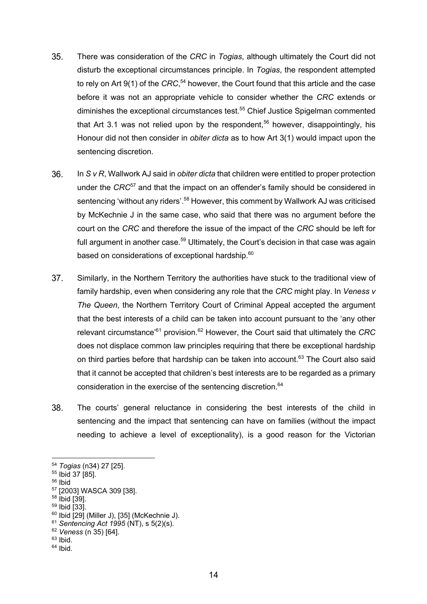- 35. There was consideration of the *CRC* in *Togias*, although ultimately the Court did not disturb the exceptional circumstances principle. In *Togias*, the respondent attempted to rely on Art 9(1) of the *CRC*, <sup>54</sup> however, the Court found that this article and the case before it was not an appropriate vehicle to consider whether the *CRC* extends or diminishes the exceptional circumstances test.<sup>55</sup> Chief Justice Spigelman commented that Art 3.1 was not relied upon by the respondent,<sup>56</sup> however, disappointingly, his Honour did not then consider in *obiter dicta* as to how Art 3(1) would impact upon the sentencing discretion.
- 36. In *S v R*, Wallwork AJ said in *obiter dicta* that children were entitled to proper protection under the *CRC*<sup>57</sup> and that the impact on an offender's family should be considered in sentencing 'without any riders'.<sup>58</sup> However, this comment by Wallwork AJ was criticised by McKechnie J in the same case, who said that there was no argument before the court on the *CRC* and therefore the issue of the impact of the *CRC* should be left for full argument in another case.<sup>59</sup> Ultimately, the Court's decision in that case was again based on considerations of exceptional hardship.<sup>60</sup>
- 37. Similarly, in the Northern Territory the authorities have stuck to the traditional view of family hardship, even when considering any role that the *CRC* might play. In *Veness v The Queen*, the Northern Territory Court of Criminal Appeal accepted the argument that the best interests of a child can be taken into account pursuant to the 'any other relevant circumstance'61 provision.<sup>62</sup> However, the Court said that ultimately the *CRC*  does not displace common law principles requiring that there be exceptional hardship on third parties before that hardship can be taken into account.<sup>63</sup> The Court also said that it cannot be accepted that children's best interests are to be regarded as a primary consideration in the exercise of the sentencing discretion.<sup>64</sup>
- 38. The courts' general reluctance in considering the best interests of the child in sentencing and the impact that sentencing can have on families (without the impact needing to achieve a level of exceptionality), is a good reason for the Victorian

- <sup>59</sup> Ibid [33].
- $60$  Ibid  $[29]$  (Miller J), [35] (McKechnie J).

 $63$  Ibid.

<sup>54</sup> *Togias* (n34) 27 [25].

<sup>55</sup> Ibid 37 [85].

<sup>56</sup> Ibid

<sup>57</sup> [2003] WASCA 309 [38].

<sup>58</sup> Ibid [39].

<sup>61</sup> *Sentencing Act 1995* (NT), s 5(2)(s).

<sup>62</sup> *Veness* (n 35) [64].

 $64$  Ibid.